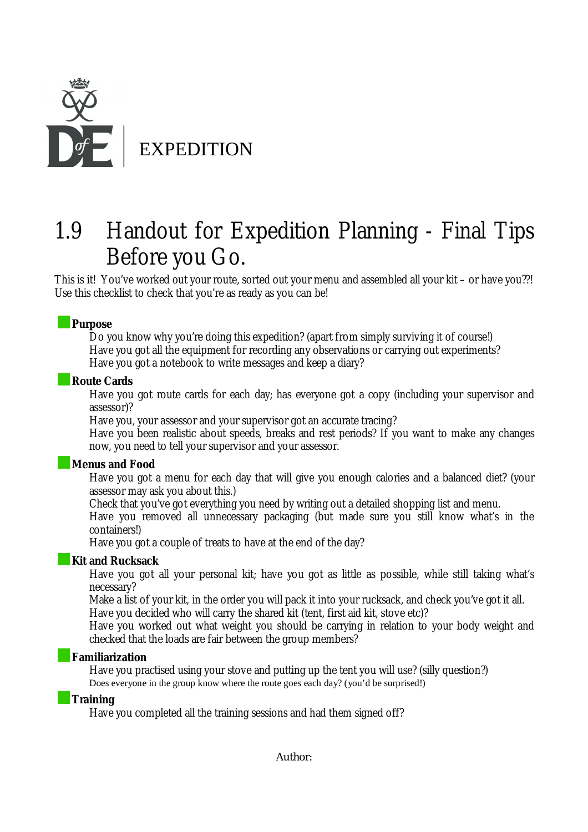

# 1.9 Handout for Expedition Planning - Final Tips Before you Go.

This is it! You've worked out your route, sorted out your menu and assembled all your kit – or have you??! Use this checklist to check that you're as ready as you can be!

### **Purpose**

Do you know why you're doing this expedition? (apart from simply surviving it of course!) Have you got all the equipment for recording any observations or carrying out experiments? Have you got a notebook to write messages and keep a diary?

#### **Route Cards**

Have you got route cards for each day; has everyone got a copy (including your supervisor and assessor)?

Have you, your assessor and your supervisor got an accurate tracing?

Have you been realistic about speeds, breaks and rest periods? If you want to make any changes now, you need to tell your supervisor and your assessor.

#### **Menus and Food**

Have you got a menu for each day that will give you enough calories and a balanced diet? (your assessor may ask you about this.)

Check that you've got everything you need by writing out a detailed shopping list and menu.

Have you removed all unnecessary packaging (but made sure you still know what's in the containers!)

Have you got a couple of treats to have at the end of the day?

#### **Kit and Rucksack**

Have you got all your personal kit; have you got as little as possible, while still taking what's necessary?

Make a list of your kit, in the order you will pack it into your rucksack, and check you've got it all.

Have you decided who will carry the shared kit (tent, first aid kit, stove etc)?

Have you worked out what weight you should be carrying in relation to your body weight and checked that the loads are fair between the group members?

#### **Familiarization**

Have you practised using your stove and putting up the tent you will use? (silly question?) Does everyone in the group know where the route goes each day? (you'd be surprised!)

#### **Training**

Have you completed all the training sessions and had them signed off?